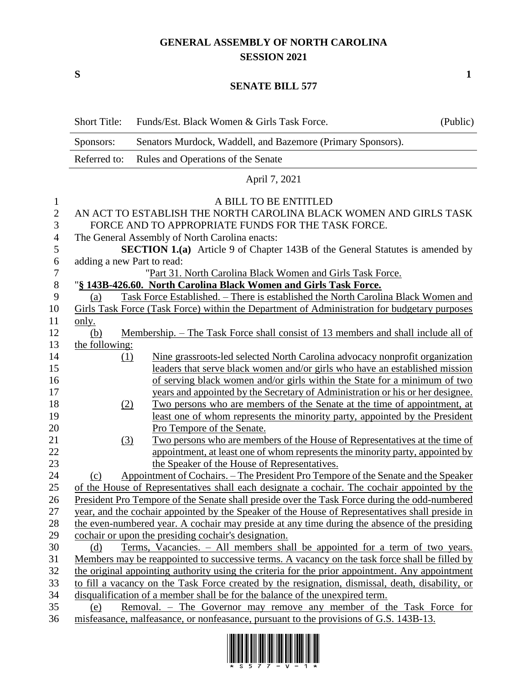## **GENERAL ASSEMBLY OF NORTH CAROLINA SESSION 2021**

**S 1**

## **SENATE BILL 577**

|                | <b>Short Title:</b>                                                                              | Funds/Est. Black Women & Girls Task Force.                                                      | (Public) |  |
|----------------|--------------------------------------------------------------------------------------------------|-------------------------------------------------------------------------------------------------|----------|--|
|                | Sponsors:                                                                                        | Senators Murdock, Waddell, and Bazemore (Primary Sponsors).                                     |          |  |
|                | Referred to:                                                                                     | Rules and Operations of the Senate                                                              |          |  |
|                |                                                                                                  | April 7, 2021                                                                                   |          |  |
| 1              |                                                                                                  | A BILL TO BE ENTITLED                                                                           |          |  |
| $\mathbf{2}$   | AN ACT TO ESTABLISH THE NORTH CAROLINA BLACK WOMEN AND GIRLS TASK                                |                                                                                                 |          |  |
| 3              | FORCE AND TO APPROPRIATE FUNDS FOR THE TASK FORCE.                                               |                                                                                                 |          |  |
| $\overline{4}$ | The General Assembly of North Carolina enacts:                                                   |                                                                                                 |          |  |
| 5              | <b>SECTION 1.(a)</b> Article 9 of Chapter 143B of the General Statutes is amended by             |                                                                                                 |          |  |
| 6              | adding a new Part to read:                                                                       |                                                                                                 |          |  |
| $\tau$         | "Part 31. North Carolina Black Women and Girls Task Force.                                       |                                                                                                 |          |  |
| $8\,$          |                                                                                                  | "§ 143B-426.60. North Carolina Black Women and Girls Task Force.                                |          |  |
| 9              | (a)                                                                                              | Task Force Established. - There is established the North Carolina Black Women and               |          |  |
| 10             |                                                                                                  | Girls Task Force (Task Force) within the Department of Administration for budgetary purposes    |          |  |
| 11             | <u>only.</u>                                                                                     |                                                                                                 |          |  |
| 12             | (b)                                                                                              | <u>Membership. – The Task Force shall consist of 13 members and shall include all of</u>        |          |  |
| 13             | the following:                                                                                   |                                                                                                 |          |  |
| 14             | (1)                                                                                              | Nine grassroots-led selected North Carolina advocacy nonprofit organization                     |          |  |
| 15             |                                                                                                  | leaders that serve black women and/or girls who have an established mission                     |          |  |
| 16             |                                                                                                  | of serving black women and/or girls within the State for a minimum of two                       |          |  |
| 17             |                                                                                                  | years and appointed by the Secretary of Administration or his or her designee.                  |          |  |
| 18             | (2)                                                                                              | Two persons who are members of the Senate at the time of appointment, at                        |          |  |
| 19             |                                                                                                  | least one of whom represents the minority party, appointed by the President                     |          |  |
| 20             |                                                                                                  | Pro Tempore of the Senate.                                                                      |          |  |
| 21             | (3)                                                                                              | Two persons who are members of the House of Representatives at the time of                      |          |  |
| 22             |                                                                                                  | appointment, at least one of whom represents the minority party, appointed by                   |          |  |
| 23             |                                                                                                  | the Speaker of the House of Representatives.                                                    |          |  |
| 24             | (c)                                                                                              | Appointment of Cochairs. – The President Pro Tempore of the Senate and the Speaker              |          |  |
| 25             |                                                                                                  | of the House of Representatives shall each designate a cochair. The cochair appointed by the    |          |  |
| 26             |                                                                                                  | President Pro Tempore of the Senate shall preside over the Task Force during the odd-numbered   |          |  |
| 27             |                                                                                                  | year, and the cochair appointed by the Speaker of the House of Representatives shall preside in |          |  |
| 28             |                                                                                                  | the even-numbered year. A cochair may preside at any time during the absence of the presiding   |          |  |
| 29             |                                                                                                  | cochair or upon the presiding cochair's designation.                                            |          |  |
| 30             | (d)                                                                                              | Terms, Vacancies. – All members shall be appointed for a term of two years.                     |          |  |
| 31             | Members may be reappointed to successive terms. A vacancy on the task force shall be filled by   |                                                                                                 |          |  |
| 32             | the original appointing authority using the criteria for the prior appointment. Any appointment  |                                                                                                 |          |  |
| 33             | to fill a vacancy on the Task Force created by the resignation, dismissal, death, disability, or |                                                                                                 |          |  |
| 34             | disqualification of a member shall be for the balance of the unexpired term.                     |                                                                                                 |          |  |
| 35             | Removal. - The Governor may remove any member of the Task Force for<br>(e)                       |                                                                                                 |          |  |
| 36             |                                                                                                  | misfeasance, malfeasance, or nonfeasance, pursuant to the provisions of G.S. 143B-13.           |          |  |